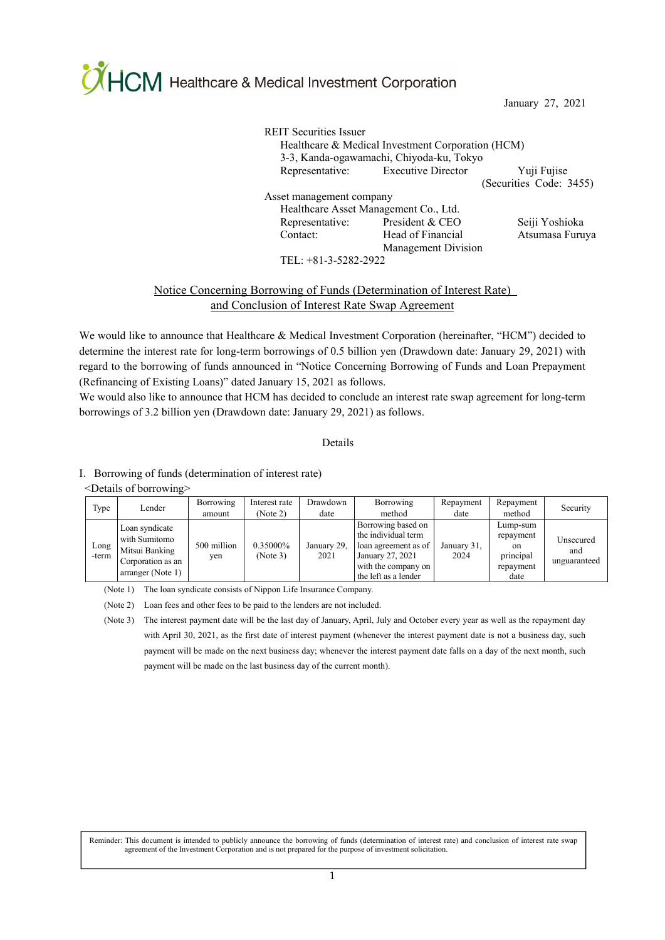**OHCM** Healthcare & Medical Investment Corporation

January 27, 2021

REIT Securities Issuer Healthcare & Medical Investment Corporation (HCM) 3-3, Kanda-ogawamachi, Chiyoda-ku, Tokyo Representative: Executive Director Yuji Fujise (Securities Code: 3455) Asset management company Healthcare Asset Management Co., Ltd. Representative: President & CEO Seiji Yoshioka Contact: Head of Financial Management Division Atsumasa Furuya

TEL: +81-3-5282-2922

# Notice Concerning Borrowing of Funds (Determination of Interest Rate) and Conclusion of Interest Rate Swap Agreement

We would like to announce that Healthcare & Medical Investment Corporation (hereinafter, "HCM") decided to determine the interest rate for long-term borrowings of 0.5 billion yen (Drawdown date: January 29, 2021) with regard to the borrowing of funds announced in "Notice Concerning Borrowing of Funds and Loan Prepayment (Refinancing of Existing Loans)" dated January 15, 2021 as follows.

We would also like to announce that HCM has decided to conclude an interest rate swap agreement for long-term borrowings of 3.2 billion yen (Drawdown date: January 29, 2021) as follows.

### Details

### Ⅰ.Borrowing of funds (determination of interest rate)

<Details of borrowing>

| Type          | Lender                                                                                      | Borrowing<br>amount | Interest rate<br>(Note 2) | Drawdown<br>date    | Borrowing<br>method                                                                                                                  | Repayment<br>date   | Repayment<br>method                                           | Security                         |
|---------------|---------------------------------------------------------------------------------------------|---------------------|---------------------------|---------------------|--------------------------------------------------------------------------------------------------------------------------------------|---------------------|---------------------------------------------------------------|----------------------------------|
| Long<br>-term | Loan syndicate<br>with Sumitomo<br>Mitsui Banking<br>Corporation as an<br>arranger (Note 1) | 500 million<br>yen  | 0.35000%<br>(Note 3)      | January 29,<br>2021 | Borrowing based on<br>the individual term<br>loan agreement as of<br>January 27, 2021<br>with the company on<br>the left as a lender | January 31,<br>2024 | Lump-sum<br>repayment<br>on<br>principal<br>repayment<br>date | Unsecured<br>and<br>unguaranteed |

(Note 1) The loan syndicate consists of Nippon Life Insurance Company.

(Note 2) Loan fees and other fees to be paid to the lenders are not included.

(Note 3) The interest payment date will be the last day of January, April, July and October every year as well as the repayment day with April 30, 2021, as the first date of interest payment (whenever the interest payment date is not a business day, such payment will be made on the next business day; whenever the interest payment date falls on a day of the next month, such payment will be made on the last business day of the current month).

Reminder: This document is intended to publicly announce the borrowing of funds (determination of interest rate) and conclusion of interest rate swap agreement of the Investment Corporation and is not prepared for the purpose of investment solicitation.